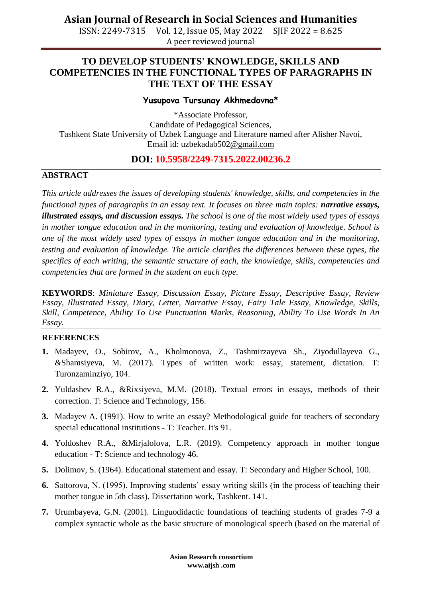**Asian Journal of Research in Social Sciences and Humanities**

ISSN: 2249-7315 Vol. 12, Issue 05, May 2022 SJIF 2022 = 8.625 A peer reviewed journal

# **TO DEVELOP STUDENTS' KNOWLEDGE, SKILLS AND COMPETENCIES IN THE FUNCTIONAL TYPES OF PARAGRAPHS IN THE TEXT OF THE ESSAY**

#### **Yusupova Tursunay Akhmedovna\***

\*Associate Professor, Candidate of Pedagogical Sciences, Tashkent State University of Uzbek Language and Literature named after Alisher Navoi, Email id: [uzbekadab502@gmail.com](mailto:uzbekadab502@gmail.com)

## **DOI: 10.5958/2249-7315.2022.00236.2**

### **ABSTRACT**

*This article addresses the issues of developing students' knowledge, skills, and competencies in the functional types of paragraphs in an essay text. It focuses on three main topics: <i>narrative essays, illustrated essays, and discussion essays. The school is one of the most widely used types of essays in mother tongue education and in the monitoring, testing and evaluation of knowledge. School is one of the most widely used types of essays in mother tongue education and in the monitoring, testing and evaluation of knowledge. The article clarifies the differences between these types, the specifics of each writing, the semantic structure of each, the knowledge, skills, competencies and competencies that are formed in the student on each type.*

**KEYWORDS**: *Miniature Essay, Discussion Essay, Picture Essay, Descriptive Essay, Review Essay, Illustrated Essay, Diary, Letter, Narrative Essay, Fairy Tale Essay, Knowledge, Skills, Skill, Competence, Ability To Use Punctuation Marks, Reasoning, Ability To Use Words In An Essay.*

#### **REFERENCES**

- **1.** Madayev, O., Sobirov, A., Kholmonova, Z., Tashmirzayeva Sh., Ziyodullayeva G., &Shamsiyeva, M. (2017). Types of written work: essay, statement, dictation. T: Turonzaminziyo, 104.
- **2.** Yuldashev R.A., &Rixsiyeva, M.M. (2018). Textual errors in essays, methods of their correction. T: Science and Technology, 156.
- **3.** Madayev A. (1991). How to write an essay? Methodological guide for teachers of secondary special educational institutions - T: Teacher. It's 91.
- **4.** Yoldoshev R.A., &Mirjalolova, L.R. (2019). Competency approach in mother tongue education - T: Science and technology 46.
- **5.** Dolimov, S. (1964). Educational statement and essay. T: Secondary and Higher School, 100.
- **6.** Sattorova, N. (1995). Improving students' essay writing skills (in the process of teaching their mother tongue in 5th class). Dissertation work, Tashkent. 141.
- **7.** Urumbayeva, G.N. (2001). Linguodidactic foundations of teaching students of grades 7-9 a complex syntactic whole as the basic structure of monological speech (based on the material of